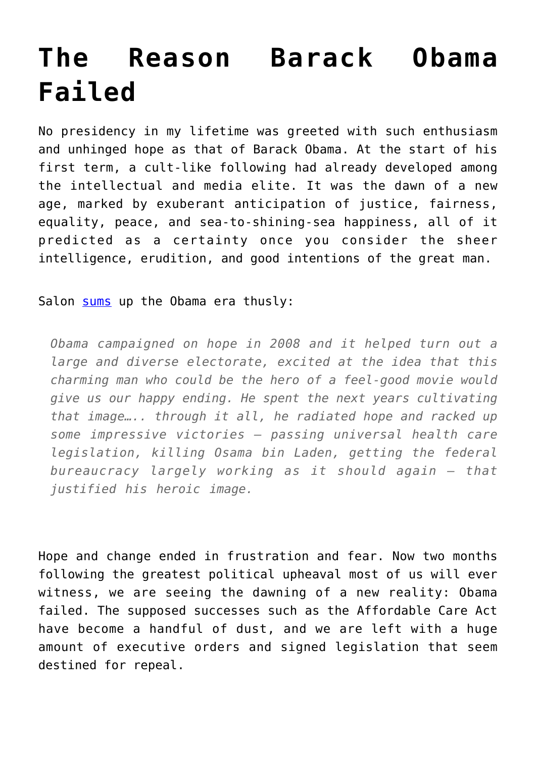# **[The Reason Barack Obama](https://intellectualtakeout.org/2016/12/the-reason-barack-obama-failed/) [Failed](https://intellectualtakeout.org/2016/12/the-reason-barack-obama-failed/)**

No presidency in my lifetime was greeted with such enthusiasm and unhinged hope as that of Barack Obama. At the start of his first term, a cult-like following had already developed among the intellectual and media elite. It was the dawn of a new age, marked by exuberant anticipation of justice, fairness, equality, peace, and sea-to-shining-sea happiness, all of it predicted as a certainty once you consider the sheer intelligence, erudition, and good intentions of the great man.

Salon [sums](https://www.google.com/url?q=http://www.salon.com/2016/12/24/rogue-one-exactly-the-star-wars-movie-we-need-as-the-age-of-trump-dawns/&sa=D&ust=1482701610108000&usg=AFQjCNEQmW17lQL3H4uGbT-oQeBV5XqeQQ) up the Obama era thusly:

*Obama campaigned on hope in 2008 and it helped turn out a large and diverse electorate, excited at the idea that this charming man who could be the hero of a feel-good movie would give us our happy ending. He spent the next years cultivating that image….. through it all, he radiated hope and racked up some impressive victories — passing universal health care legislation, killing Osama bin Laden, getting the federal bureaucracy largely working as it should again — that justified his heroic image.*

Hope and change ended in frustration and fear. Now two months following the greatest political upheaval most of us will ever witness, we are seeing the dawning of a new reality: Obama failed. The supposed successes such as the Affordable Care Act have become a handful of dust, and we are left with a huge amount of executive orders and signed legislation that seem destined for repeal.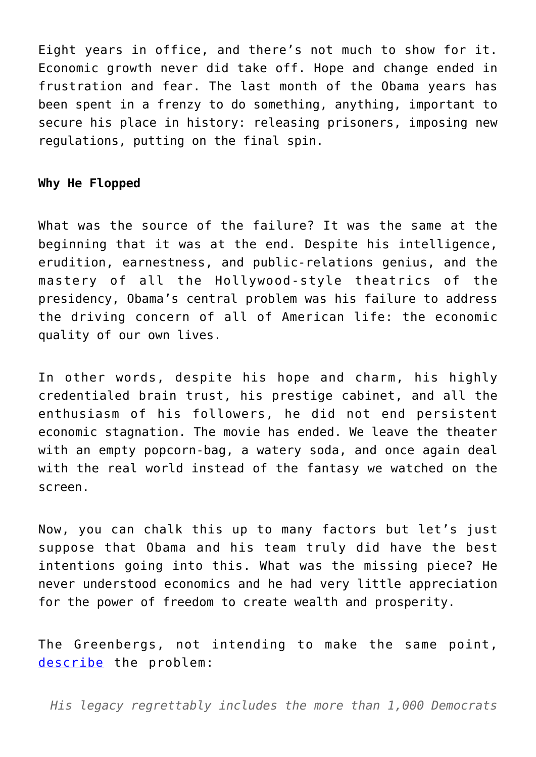Eight years in office, and there's not much to show for it. Economic growth never did take off. Hope and change ended in frustration and fear. The last month of the Obama years has been spent in a frenzy to do something, anything, important to secure his place in history: releasing prisoners, imposing new regulations, putting on the final spin.

#### **Why He Flopped**

What was the source of the failure? It was the same at the beginning that it was at the end. Despite his intelligence, erudition, earnestness, and public-relations genius, and the mastery of all the Hollywood-style theatrics of the presidency, Obama's central problem was his failure to address the driving concern of all of American life: the economic quality of our own lives.

In other words, despite his hope and charm, his highly credentialed brain trust, his prestige cabinet, and all the enthusiasm of his followers, he did not end persistent economic stagnation. The movie has ended. We leave the theater with an empty popcorn-bag, a watery soda, and once again deal with the real world instead of the fantasy we watched on the screen.

Now, you can chalk this up to many factors but let's just suppose that Obama and his team truly did have the best intentions going into this. What was the missing piece? He never understood economics and he had very little appreciation for the power of freedom to create wealth and prosperity.

The Greenbergs, not intending to make the same point, [describe](https://www.google.com/url?q=https://at.fee.org/2hgn9y5&sa=D&ust=1482701610113000&usg=AFQjCNErSokVVsPLgdpJFI-V0j3rsYmNZw) the problem:

*His legacy regrettably includes the more than 1,000 Democrats*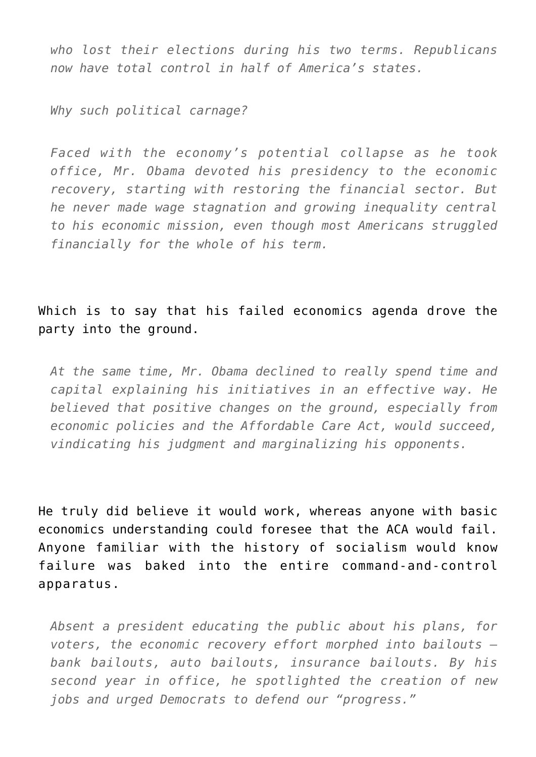*who lost their elections during his two terms. Republicans now have total control in half of America's states.*

*Why such political carnage?*

*Faced with the economy's potential collapse as he took office, Mr. Obama devoted his presidency to the economic recovery, starting with restoring the financial sector. But he never made wage stagnation and growing inequality central to his economic mission, even though most Americans struggled financially for the whole of his term.*

### Which is to say that his failed economics agenda drove the party into the ground.

*At the same time, Mr. Obama declined to really spend time and capital explaining his initiatives in an effective way. He believed that positive changes on the ground, especially from economic policies and the Affordable Care Act, would succeed, vindicating his judgment and marginalizing his opponents.*

He truly did believe it would work, whereas anyone with basic economics understanding could foresee that the ACA would fail. Anyone familiar with the history of socialism would know failure was baked into the entire command-and-control apparatus.

*Absent a president educating the public about his plans, for voters, the economic recovery effort morphed into bailouts bank bailouts, auto bailouts, insurance bailouts. By his second year in office, he spotlighted the creation of new jobs and urged Democrats to defend our "progress."*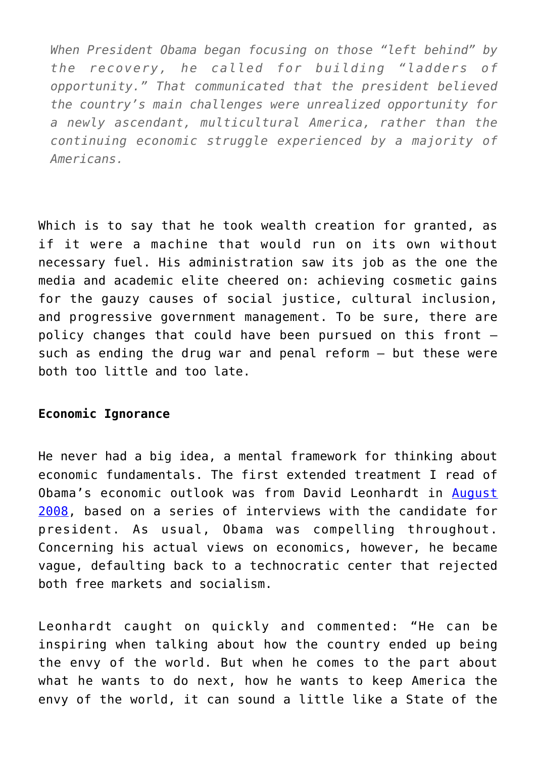*When President Obama began focusing on those "left behind" by the recovery, he called for building "ladders of opportunity." That communicated that the president believed the country's main challenges were unrealized opportunity for a newly ascendant, multicultural America, rather than the continuing economic struggle experienced by a majority of Americans.*

Which is to say that he took wealth creation for granted, as if it were a machine that would run on its own without necessary fuel. His administration saw its job as the one the media and academic elite cheered on: achieving cosmetic gains for the gauzy causes of social justice, cultural inclusion, and progressive government management. To be sure, there are policy changes that could have been pursued on this front – such as ending the drug war and penal reform – but these were both too little and too late.

#### **Economic Ignorance**

He never had a big idea, a mental framework for thinking about economic fundamentals. The first extended treatment I read of Obama's economic outlook was from David Leonhardt in [August](https://www.google.com/url?q=http://www.nytimes.com/2008/08/24/magazine/24Obamanomics-t.html&sa=D&ust=1482701610119000&usg=AFQjCNEgT2pGQY8rNs6bqDRNizpdCF3QNA) [2008](https://www.google.com/url?q=http://www.nytimes.com/2008/08/24/magazine/24Obamanomics-t.html&sa=D&ust=1482701610119000&usg=AFQjCNEgT2pGQY8rNs6bqDRNizpdCF3QNA), based on a series of interviews with the candidate for president. As usual, Obama was compelling throughout. Concerning his actual views on economics, however, he became vague, defaulting back to a technocratic center that rejected both free markets and socialism.

Leonhardt caught on quickly and commented: "He can be inspiring when talking about how the country ended up being the envy of the world. But when he comes to the part about what he wants to do next, how he wants to keep America the envy of the world, it can sound a little like a State of the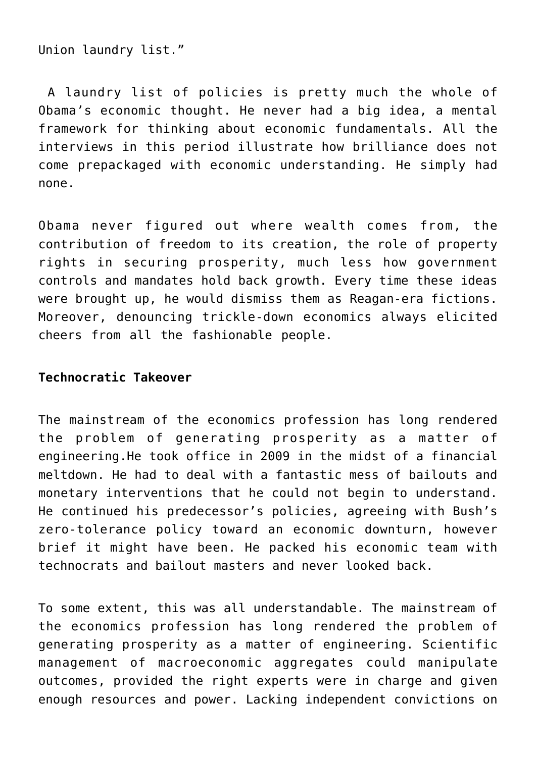Union laundry list."

A laundry list of policies is pretty much the whole of Obama's economic thought. He never had a big idea, a mental framework for thinking about economic fundamentals. All the interviews in this period illustrate how brilliance does not come prepackaged with economic understanding. He simply had none.

Obama never figured out where wealth comes from, the contribution of freedom to its creation, the role of property rights in securing prosperity, much less how government controls and mandates hold back growth. Every time these ideas were brought up, he would dismiss them as Reagan-era fictions. Moreover, denouncing trickle-down economics always elicited cheers from all the fashionable people.

#### **Technocratic Takeover**

The mainstream of the economics profession has long rendered the problem of generating prosperity as a matter of engineering.He took office in 2009 in the midst of a financial meltdown. He had to deal with a fantastic mess of bailouts and monetary interventions that he could not begin to understand. He continued his predecessor's policies, agreeing with Bush's zero-tolerance policy toward an economic downturn, however brief it might have been. He packed his economic team with technocrats and bailout masters and never looked back.

To some extent, this was all understandable. The mainstream of the economics profession has long rendered the problem of generating prosperity as a matter of engineering. Scientific management of macroeconomic aggregates could manipulate outcomes, provided the right experts were in charge and given enough resources and power. Lacking independent convictions on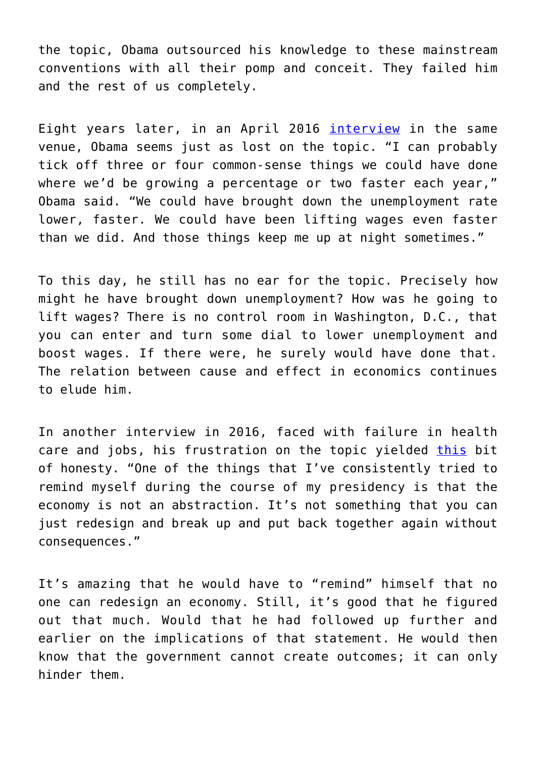the topic, Obama outsourced his knowledge to these mainstream conventions with all their pomp and conceit. They failed him and the rest of us completely.

Eight years later, in an April 2016 [interview](https://www.google.com/url?q=http://www.nytimes.com/2016/05/01/magazine/president-obama-weighs-his-economic-legacy.html?_r%3D1&sa=D&ust=1482701610125000&usg=AFQjCNHvfTFGlL5xjFFvswMtc-L_qOk7vQ) in the same venue, Obama seems just as lost on the topic. "I can probably tick off three or four common-sense things we could have done where we'd be growing a percentage or two faster each year," Obama said. "We could have brought down the unemployment rate lower, faster. We could have been lifting wages even faster than we did. And those things keep me up at night sometimes."

To this day, he still has no ear for the topic. Precisely how might he have brought down unemployment? How was he going to lift wages? There is no control room in Washington, D.C., that you can enter and turn some dial to lower unemployment and boost wages. If there were, he surely would have done that. The relation between cause and effect in economics continues to elude him.

In another interview in 2016, faced with failure in health care and jobs, his frustration on the topic yielded [this](https://www.google.com/url?q=http://www.cnn.com/2016/04/28/politics/barack-obama-new-york-times-interview/&sa=D&ust=1482701610128000&usg=AFQjCNHIfqB0HaFC6d5iABz-pIDirRTBbw) bit of honesty. "One of the things that I've consistently tried to remind myself during the course of my presidency is that the economy is not an abstraction. It's not something that you can just redesign and break up and put back together again without consequences."

It's amazing that he would have to "remind" himself that no one can redesign an economy. Still, it's good that he figured out that much. Would that he had followed up further and earlier on the implications of that statement. He would then know that the government cannot create outcomes; it can only hinder them.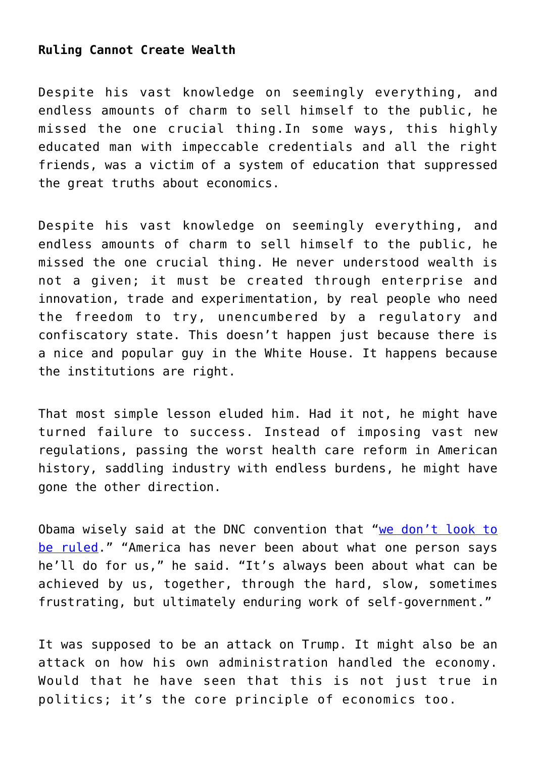#### **Ruling Cannot Create Wealth**

Despite his vast knowledge on seemingly everything, and endless amounts of charm to sell himself to the public, he missed the one crucial thing.In some ways, this highly educated man with impeccable credentials and all the right friends, was a victim of a system of education that suppressed the great truths about economics.

Despite his vast knowledge on seemingly everything, and endless amounts of charm to sell himself to the public, he missed the one crucial thing. He never understood wealth is not a given; it must be created through enterprise and innovation, trade and experimentation, by real people who need the freedom to try, unencumbered by a regulatory and confiscatory state. This doesn't happen just because there is a nice and popular guy in the White House. It happens because the institutions are right.

That most simple lesson eluded him. Had it not, he might have turned failure to success. Instead of imposing vast new regulations, passing the worst health care reform in American history, saddling industry with endless burdens, he might have gone the other direction.

Obama wisely said at the DNC convention that "[we don't look to](https://www.google.com/url?q=https://fee.org/articles/president-obama-we-dont-look-to-be-ruled/&sa=D&ust=1482701610132000&usg=AFQjCNE-91FDs47tIgeW5V6xGLqfu7aZhw) [be ruled](https://www.google.com/url?q=https://fee.org/articles/president-obama-we-dont-look-to-be-ruled/&sa=D&ust=1482701610132000&usg=AFQjCNE-91FDs47tIgeW5V6xGLqfu7aZhw)." "America has never been about what one person says he'll do for us," he said. "It's always been about what can be achieved by us, together, through the hard, slow, sometimes frustrating, but ultimately enduring work of self-government."

It was supposed to be an attack on Trump. It might also be an attack on how his own administration handled the economy. Would that he have seen that this is not just true in politics; it's the core principle of economics too.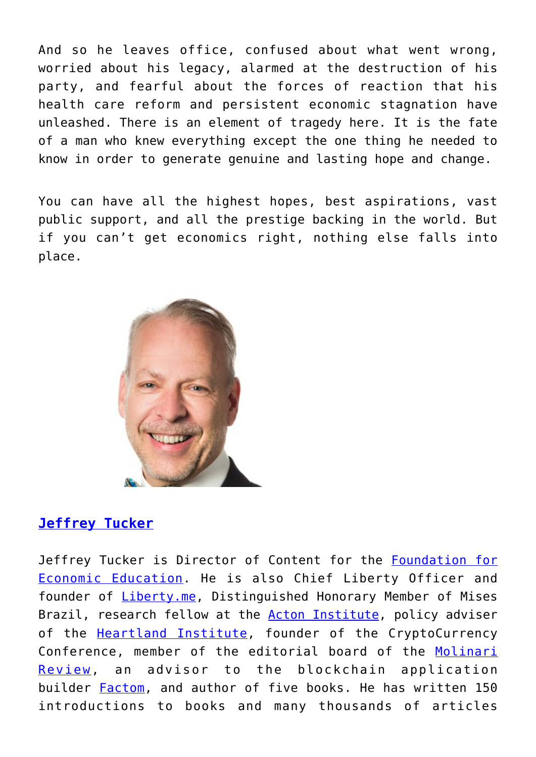And so he leaves office, confused about what went wrong, worried about his legacy, alarmed at the destruction of his party, and fearful about the forces of reaction that his health care reform and persistent economic stagnation have unleashed. There is an element of tragedy here. It is the fate of a man who knew everything except the one thing he needed to know in order to generate genuine and lasting hope and change.

You can have all the highest hopes, best aspirations, vast public support, and all the prestige backing in the world. But if you can't get economics right, nothing else falls into place.



## **[Jeffrey Tucker](https://fee.org/people/jeffrey-a-tucker/)**

Jeffrey Tucker is Director of Content for the **[Foundation for](https://fee.org/)** [Economic Education.](https://fee.org/) He is also Chief Liberty Officer and founder of *Liberty.me*, Distinguished Honorary Member of Mises Brazil, research fellow at the **[Acton Institute](http://www.acton.org/)**, policy adviser of the **[Heartland Institute](https://www.heartland.org/index.html)**, founder of the CryptoCurrency Conference, member of the editorial board of the [Molinari](http://praxeology.net/molinari-review.htm) [Review,](http://praxeology.net/molinari-review.htm) an advisor to the blockchain application builder [Factom,](https://www.factom.com/) and author of five books. He has written 150 introductions to books and many thousands of articles